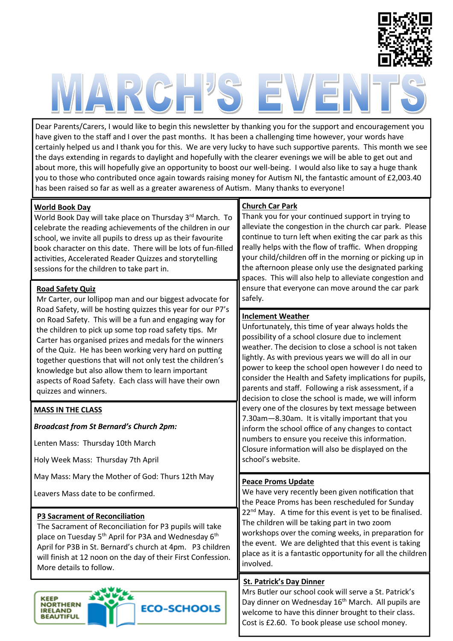

# $\sqrt{2}$

Dear Parents/Carers, I would like to begin this newsletter by thanking you for the support and encouragement you have given to the staff and I over the past months. It has been a challenging time however, your words have certainly helped us and I thank you for this. We are very lucky to have such supportive parents. This month we see the days extending in regards to daylight and hopefully with the clearer evenings we will be able to get out and about more, this will hopefully give an opportunity to boost our well-being. I would also like to say a huge thank you to those who contributed once again towards raising money for Autism NI, the fantastic amount of £2,003.40 has been raised so far as well as a greater awareness of Autism. Many thanks to everyone!

## **World Book Day**

World Book Day will take place on Thursday 3rd March. To celebrate the reading achievements of the children in our school, we invite all pupils to dress up as their favourite book character on this date. There will be lots of fun-filled activities, Accelerated Reader Quizzes and storytelling sessions for the children to take part in.

#### **Road Safety Quiz**

Mr Carter, our lollipop man and our biggest advocate for Road Safety, will be hosting quizzes this year for our P7's on Road Safety. This will be a fun and engaging way for the children to pick up some top road safety tips. Mr Carter has organised prizes and medals for the winners of the Quiz. He has been working very hard on putting together questions that will not only test the children's knowledge but also allow them to learn important aspects of Road Safety. Each class will have their own quizzes and winners.

#### **MASS IN THE CLASS**

*Broadcast from St Bernard's Church 2pm:* 

Lenten Mass: Thursday 10th March

Holy Week Mass: Thursday 7th April

May Mass: Mary the Mother of God: Thurs 12th May

Leavers Mass date to be confirmed.

#### **P3 Sacrament of Reconciliation**

The Sacrament of Reconciliation for P3 pupils will take place on Tuesday 5<sup>th</sup> April for P3A and Wednesday 6<sup>th</sup> April for P3B in St. Bernard's church at 4pm. P3 children will finish at 12 noon on the day of their First Confession. More details to follow.



#### **Church Car Park**

Thank you for your continued support in trying to alleviate the congestion in the church car park. Please continue to turn left when exiting the car park as this really helps with the flow of traffic. When dropping your child/children off in the morning or picking up in the afternoon please only use the designated parking spaces. This will also help to alleviate congestion and ensure that everyone can move around the car park safely.

#### **Inclement Weather**

Unfortunately, this time of year always holds the possibility of a school closure due to inclement weather. The decision to close a school is not taken lightly. As with previous years we will do all in our power to keep the school open however I do need to consider the Health and Safety implications for pupils, parents and staff. Following a risk assessment, if a decision to close the school is made, we will inform every one of the closures by text message between 7.30am—8.30am. It is vitally important that you inform the school office of any changes to contact numbers to ensure you receive this information. Closure information will also be displayed on the school's website.

#### **Peace Proms Update**

We have very recently been given notification that the Peace Proms has been rescheduled for Sunday  $22<sup>nd</sup>$  May. A time for this event is yet to be finalised. The children will be taking part in two zoom workshops over the coming weeks, in preparation for the event. We are delighted that this event is taking place as it is a fantastic opportunity for all the children involved.

#### **St. Patrick's Day Dinner**

Mrs Butler our school cook will serve a St. Patrick's Day dinner on Wednesday 16<sup>th</sup> March. All pupils are welcome to have this dinner brought to their class. Cost is £2.60. To book please use school money.